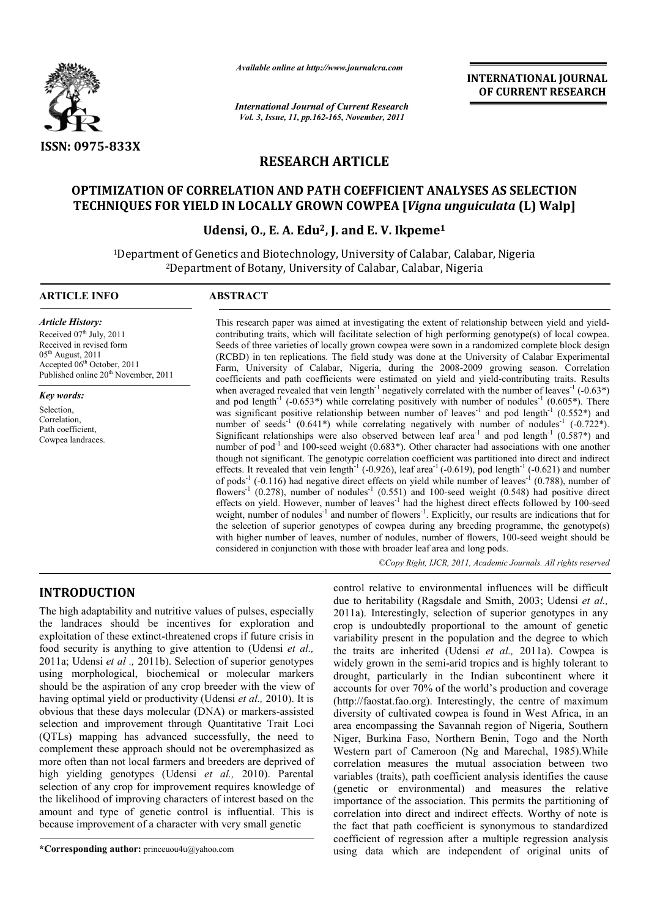

*Available online at http://www.journalcra.com*

*International Journal of Current Research Vol. 3, Issue, 11, pp.162-165, November, 2011*

**INTERNATIONAL JOURNAL OF CURRENT RESEARCH** 

# **RESEARCH ARTICLE**

# **OPTIMIZATION OF CORRELATION AND PATH COEFFICIENT ANALYSES AS SELECTION TECHNIQUES FOR YIELD IN LOCALLY GROWN COWPEA [***Vigna unguiculata* **(L) Walp]**

# **Udensi, O., E. A. Edu2, J. and E. V. Ikpeme1**

1Department of Genetics and Biotechnology, University of Calabar, Calabar, Nigeria 2Department of Botany, University of Calabar, Calabar, Nigeria

#### **ARTICLE INFO ABSTRACT**

*Article History:* Received  $07<sup>th</sup>$  July, 2011 Received in revised form  $05<sup>th</sup>$  August, 2011 Accepted 06<sup>th</sup> October, 2011 Published online 20<sup>th</sup> November, 2011

*Key words:*

Selection, Correlation, Path coefficient, Cowpea landraces.

This research paper was aimed at investigating the extent of relationship between yield and yieldcontributing traits, which will facilitate selection of high performing genotype(s) of local cowpea. Seeds of three varieties of locally grown cowpea were sown in a randomized complete block design (RCBD) in ten replications. The field study was done at the University of Calabar Experimental Farm, University of Calabar, Nigeria, during the 2008-2009 growing season. Correlation coefficients and path coefficients were estimated on yield and yield-contributing traits. Results when averaged revealed that vein length<sup>-1</sup> negatively correlated with the number of leaves<sup>-1</sup> (-0.63\*) and pod length<sup>-1</sup> (-0.653\*) while correlating positively with number of nodules<sup>-1</sup> (0.605\*). There was significant positive relationship between number of leaves<sup>-1</sup> and pod length<sup>-1</sup> (0.552<sup>\*</sup>) and number of seeds<sup>-1</sup> (0.641\*) while correlating negatively with number of nodules<sup>-1</sup> (-0.722\*). Significant relationships were also observed between leaf area<sup>-1</sup> and pod length<sup>-1</sup> (0.587\*) and number of pod<sup>-1</sup> and 100-seed weight (0.683\*). Other character had associations with one another though not significant. The genotypic correlation coefficient was partitioned into direct and indirect effects. It revealed that vein length<sup>-1</sup> (-0.926), leaf area<sup>-1</sup> (-0.619), pod length<sup>-1</sup> (-0.621) and number of pods<sup>-1</sup> (-0.116) had negative direct effects on yield while number of leaves<sup>-1</sup> (0.788), number of flowers<sup>-1</sup> (0.278), number of nodules<sup>-1</sup> (0.551) and 100-seed weight (0.548) had positive direct effects on yield. However, number of leaves<sup>-1</sup> had the highest direct effects followed by 100-seed weight, number of nodules<sup>-1</sup> and number of flowers<sup>-1</sup>. Explicitly, our results are indications that for the selection of superior genotypes of cowpea during any breeding programme, the genotype(s) with higher number of leaves, number of nodules, number of flowers, 100-seed weight should be considered in conjunction with those with broader leaf area and long pods.

*©Copy Right, IJCR, 2011, Academic Journals. All rights reserved*

# **INTRODUCTION**

The high adaptability and nutritive values of pulses, especially the landraces should be incentives for exploration and exploitation of these extinct-threatened crops if future crisis in food security is anything to give attention to (Udensi *et al.,*  2011a; Udensi *et al .,* 2011b). Selection of superior genotypes using morphological, biochemical or molecular markers should be the aspiration of any crop breeder with the view of having optimal yield or productivity (Udensi *et al.,* 2010). It is obvious that these days molecular (DNA) or markers-assisted selection and improvement through Quantitative Trait Loci (QTLs) mapping has advanced successfully, the need to complement these approach should not be overemphasized as more often than not local farmers and breeders are deprived of high yielding genotypes (Udensi *et al.,* 2010). Parental selection of any crop for improvement requires knowledge of the likelihood of improving characters of interest based on the amount and type of genetic control is influential. This is because improvement of a character with very small genetic

**\*Corresponding author:** princeuou4u@yahoo.com

control relative to environmental influences will be difficult due to heritability (Ragsdale and Smith, 2003; Udensi *et al.,*  2011a). Interestingly, selection of superior genotypes in any crop is undoubtedly proportional to the amount of genetic variability present in the population and the degree to which the traits are inherited (Udensi *et al.,* 2011a). Cowpea is widely grown in the semi-arid tropics and is highly tolerant to drought, particularly in the Indian subcontinent where it accounts for over 70% of the world's production and coverage (http://faostat.fao.org). Interestingly, the centre of maximum diversity of cultivated cowpea is found in West Africa, in an area encompassing the Savannah region of Nigeria, Southern Niger, Burkina Faso, Northern Benin, Togo and the North Western part of Cameroon (Ng and Marechal, 1985).While correlation measures the mutual association between two variables (traits), path coefficient analysis identifies the cause (genetic or environmental) and measures the relative importance of the association. This permits the partitioning of correlation into direct and indirect effects. Worthy of note is the fact that path coefficient is synonymous to standardized coefficient of regression after a multiple regression analysis using data which are independent of original units of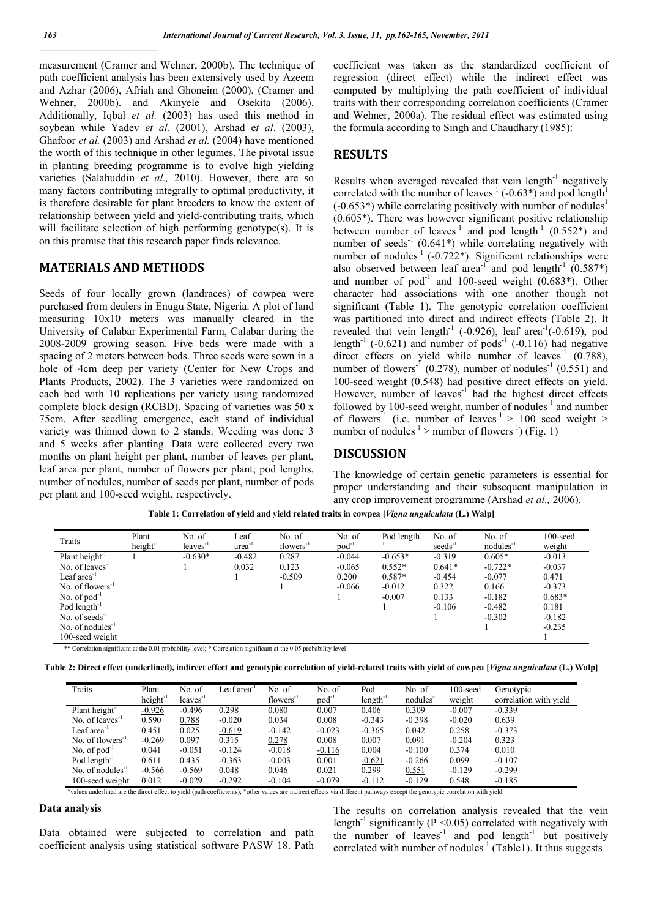measurement (Cramer and Wehner, 2000b). The technique of path coefficient analysis has been extensively used by Azeem and Azhar (2006), Afriah and Ghoneim (2000), (Cramer and Wehner, 2000b). and Akinyele and Osekita (2006). Additionally, Iqbal *et al.* (2003) has used this method in soybean while Yadev *et al.* (2001), Arshad e*t al*. (2003), Ghafoor *et al.* (2003) and Arshad *et al.* (2004) have mentioned the worth of this technique in other legumes. The pivotal issue in planting breeding programme is to evolve high yielding varieties (Salahuddin *et al.,* 2010). However, there are so many factors contributing integrally to optimal productivity, it is therefore desirable for plant breeders to know the extent of relationship between yield and yield-contributing traits, which will facilitate selection of high performing genotype(s). It is on this premise that this research paper finds relevance.

# **MATERIALS AND METHODS**

Seeds of four locally grown (landraces) of cowpea were purchased from dealers in Enugu State, Nigeria. A plot of land measuring 10x10 meters was manually cleared in the University of Calabar Experimental Farm, Calabar during the 2008-2009 growing season. Five beds were made with a spacing of 2 meters between beds. Three seeds were sown in a hole of 4cm deep per variety (Center for New Crops and Plants Products, 2002). The 3 varieties were randomized on each bed with 10 replications per variety using randomized complete block design (RCBD). Spacing of varieties was 50 x 75cm. After seedling emergence, each stand of individual variety was thinned down to 2 stands. Weeding was done 3 and 5 weeks after planting. Data were collected every two months on plant height per plant, number of leaves per plant, leaf area per plant, number of flowers per plant; pod lengths, number of nodules, number of seeds per plant, number of pods per plant and 100-seed weight, respectively.

coefficient was taken as the standardized coefficient of regression (direct effect) while the indirect effect was computed by multiplying the path coefficient of individual traits with their corresponding correlation coefficients (Cramer and Wehner, 2000a). The residual effect was estimated using the formula according to Singh and Chaudhary (1985):

#### **RESULTS**

Results when averaged revealed that vein length $^{-1}$  negatively correlated with the number of leaves<sup>-1</sup> (-0.63<sup>\*</sup>) and pod length<sup>1</sup>  $(-0.653^*)$  while correlating positively with number of nodules<sup>1</sup>  $(0.605<sup>*</sup>)$ . There was however significant positive relationship between number of leaves<sup>-1</sup> and pod length<sup>-1</sup> (0.552\*) and number of seeds<sup>-1</sup> (0.641\*) while correlating negatively with number of nodules<sup>-1</sup> (-0.722<sup>\*</sup>). Significant relationships were also observed between leaf area<sup>-1</sup> and pod length<sup>-1</sup> (0.587\*) and number of pod<sup>-1</sup> and 100-seed weight  $(0.683^*)$ . Other character had associations with one another though not significant (Table 1). The genotypic correlation coefficient was partitioned into direct and indirect effects (Table 2). It revealed that vein length<sup>-1</sup> (-0.926), leaf area<sup>-1</sup>(-0.619), pod length<sup>-1</sup> (-0.621) and number of pods<sup>-1</sup> (-0.116) had negative direct effects on yield while number of leaves<sup>-1</sup>  $(0.788)$ , number of flowers<sup>-1</sup> (0.278), number of nodules<sup>-1</sup> (0.551) and 100-seed weight (0.548) had positive direct effects on yield. However, number of leaves<sup>-1</sup> had the highest direct effects followed by 100-seed weight, number of nodules $^{-1}$  and number of flowers<sup>-1</sup> (i.e. number of leaves<sup>-1</sup> > 100 seed weight > number of nodules<sup>-1</sup> > number of flowers<sup>-1</sup>) (Fig. 1)

### **DISCUSSION**

The knowledge of certain genetic parameters is essential for proper understanding and their subsequent manipulation in any crop improvement programme (Arshad *et al.,* 2006).

| Traits                     | Plant                | No. of     | Leaf     | No. of                | No. of            | Pod length | No. of              | No. of                | $100$ -seed |
|----------------------------|----------------------|------------|----------|-----------------------|-------------------|------------|---------------------|-----------------------|-------------|
|                            | height <sup>-1</sup> | $leaves-1$ | area     | flowers <sup>-1</sup> | pod <sup>-1</sup> |            | seeds <sup>-1</sup> | nodules <sup>-1</sup> | weight      |
| Plant height <sup>-1</sup> |                      | $-0.630*$  | $-0.482$ | 0.287                 | $-0.044$          | $-0.653*$  | $-0.319$            | $0.605*$              | $-0.013$    |
| No. of leaves $^{-1}$      |                      |            | 0.032    | 0.123                 | $-0.065$          | $0.552*$   | $0.641*$            | $-0.722*$             | $-0.037$    |
| Leaf area $^{-1}$          |                      |            |          | $-0.509$              | 0.200             | $0.587*$   | $-0.454$            | $-0.077$              | 0.471       |
| No. of flowers $^{-1}$     |                      |            |          |                       | $-0.066$          | $-0.012$   | 0.322               | 0.166                 | $-0.373$    |
| No. of $pod^{-1}$          |                      |            |          |                       |                   | $-0.007$   | 0.133               | $-0.182$              | $0.683*$    |
| Pod length $^{-1}$         |                      |            |          |                       |                   |            | $-0.106$            | $-0.482$              | 0.181       |
| No. of seeds $^{-1}$       |                      |            |          |                       |                   |            |                     | $-0.302$              | $-0.182$    |
| No. of nodules $^{-1}$     |                      |            |          |                       |                   |            |                     |                       | $-0.235$    |
| 100-seed weight            |                      |            |          |                       |                   |            |                     |                       |             |

**Table 1: Correlation of yield and yield related traits in cowpea [***Vigna unguiculata* **(L.) Walp]**

| Table 2: Direct effect (underlined), indirect effect and genotypic correlation of yield-related traits with yield of cowpea [ <i>Vigna unguiculata</i> (L.) Walp] |  |  |
|-------------------------------------------------------------------------------------------------------------------------------------------------------------------|--|--|
|                                                                                                                                                                   |  |  |

| Traits                  | Plant<br>$height^{-1}$ | No. of<br>$leaves-1$ | Leaf area <sup>-1</sup> | No. of<br>$flowers^{-1}$ | No. of<br>$pod^{-1}$ | Pod<br>$length^{-1}$ | No. of<br>$nodules^{-1}$ | $100$ -seed<br>weight | Genotypic<br>correlation with yield |
|-------------------------|------------------------|----------------------|-------------------------|--------------------------|----------------------|----------------------|--------------------------|-----------------------|-------------------------------------|
| Plant height $^{-1}$    | $-0.926$               | $-0.496$             | 0.298                   | 0.080                    | 0.007                | 0.406                | 0.309                    | $-0.007$              | $-0.339$                            |
| No. of leaves $^{-1}$   | 0.590                  | 0.788                | $-0.020$                | 0.034                    | 0.008                | $-0.343$             | $-0.398$                 | $-0.020$              | 0.639                               |
| Leaf area <sup>-1</sup> | 0.451                  | 0.025                | $-0.619$                | $-0.142$                 | $-0.023$             | $-0.365$             | 0.042                    | 0.258                 | $-0.373$                            |
| No. of flowers $^{-1}$  | $-0.269$               | 0.097                | 0.315                   | 0.278                    | 0.008                | 0.007                | 0.091                    | $-0.204$              | 0.323                               |
| No. of $pod^{-1}$       | 0.041                  | $-0.051$             | $-0.124$                | $-0.018$                 | $-0.116$             | 0.004                | $-0.100$                 | 0.374                 | 0.010                               |
| Pod length $^{-1}$      | 0.611                  | 0.435                | $-0.363$                | $-0.003$                 | 0.001                | $-0.621$             | $-0.266$                 | 0.099                 | $-0.107$                            |
| No. of nodules $^{-1}$  | $-0.566$               | $-0.569$             | 0.048                   | 0.046                    | 0.021                | 0.299                | 0.551                    | $-0.129$              | $-0.299$                            |
| 100-seed weight         | 0.012                  | $-0.029$             | $-0.292$                | $-0.104$                 | $-0.079$             | $-0.112$             | $-0.129$                 | 0.548                 | $-0.185$                            |

ned are the direct effect to yield (path coefficients); \*other values are indirect effects via different pathways except the genotypic correlation with yield.

# **Data analysis**

Data obtained were subjected to correlation and path coefficient analysis using statistical software PASW 18. Path

The results on correlation analysis revealed that the vein length<sup>-1</sup> significantly ( $P \le 0.05$ ) correlated with negatively with the number of leaves<sup>-1</sup> and pod length<sup>-1</sup> but positively correlated with number of nodules<sup>-1</sup> (Table1). It thus suggests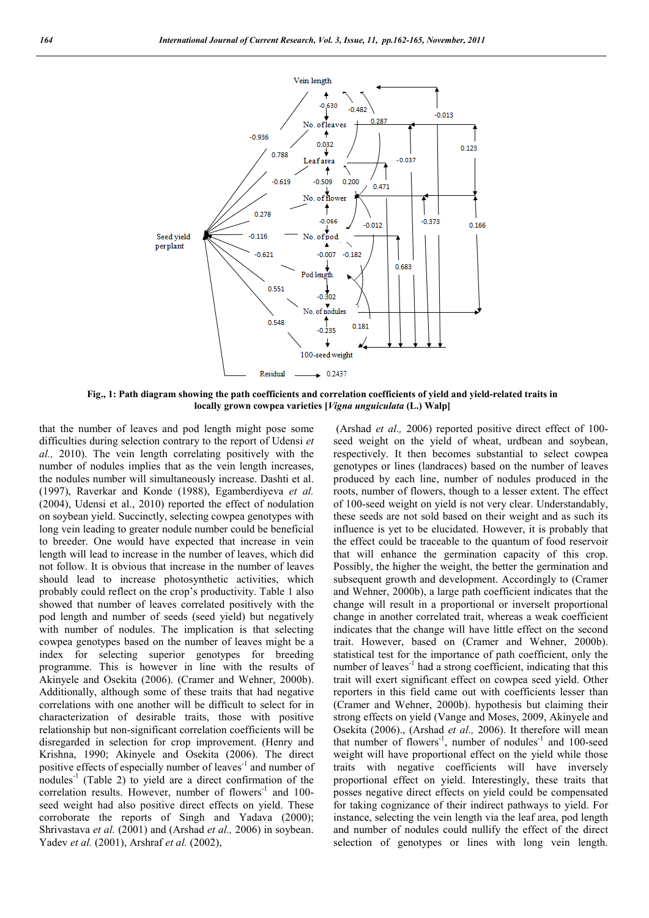

**Fig., 1: Path diagram showing the path coefficients and correlation coefficients of yield and yield-related traits in locally grown cowpea varieties [***Vigna unguiculata* **(L.) Walp]**

that the number of leaves and pod length might pose some difficulties during selection contrary to the report of Udensi *et al.,* 2010). The vein length correlating positively with the number of nodules implies that as the vein length increases, the nodules number will simultaneously increase. Dashti et al. (1997), Raverkar and Konde (1988), Egamberdiyeva *et al.*  (2004), Udensi et al., 2010) reported the effect of nodulation on soybean yield. Succinctly, selecting cowpea genotypes with long vein leading to greater nodule number could be beneficial to breeder. One would have expected that increase in vein length will lead to increase in the number of leaves, which did not follow. It is obvious that increase in the number of leaves should lead to increase photosynthetic activities, which probably could reflect on the crop's productivity. Table 1 also showed that number of leaves correlated positively with the pod length and number of seeds (seed yield) but negatively with number of nodules. The implication is that selecting cowpea genotypes based on the number of leaves might be a index for selecting superior genotypes for breeding programme. This is however in line with the results of Akinyele and Osekita (2006). (Cramer and Wehner, 2000b). Additionally, although some of these traits that had negative correlations with one another will be difficult to select for in characterization of desirable traits, those with positive relationship but non-significant correlation coefficients will be disregarded in selection for crop improvement. (Henry and Krishna, 1990; Akinyele and Osekita (2006). The direct positive effects of especially number of leaves<sup>-1</sup> and number of nodules<sup>-1</sup> (Table 2) to yield are a direct confirmation of the correlation results. However, number of flowers<sup>-1</sup> and 100seed weight had also positive direct effects on yield. These corroborate the reports of Singh and Yadava (2000); Shrivastava *et al.* (2001) and (Arshad *et al.,* 2006) in soybean. Yadev *et al.* (2001), Arshraf *et al.* (2002),

(Arshad *et al.,* 2006) reported positive direct effect of 100 seed weight on the yield of wheat, urdbean and soybean, respectively. It then becomes substantial to select cowpea genotypes or lines (landraces) based on the number of leaves produced by each line, number of nodules produced in the roots, number of flowers, though to a lesser extent. The effect of 100-seed weight on yield is not very clear. Understandably, these seeds are not sold based on their weight and as such its influence is yet to be elucidated. However, it is probably that the effect could be traceable to the quantum of food reservoir that will enhance the germination capacity of this crop. Possibly, the higher the weight, the better the germination and subsequent growth and development. Accordingly to (Cramer and Wehner, 2000b), a large path coefficient indicates that the change will result in a proportional or inverselt proportional change in another correlated trait, whereas a weak coefficient indicates that the change will have little effect on the second trait. However, based on (Cramer and Wehner, 2000b). statistical test for the importance of path coefficient, only the number of leaves<sup> $-1$ </sup> had a strong coefficient, indicating that this trait will exert significant effect on cowpea seed yield. Other reporters in this field came out with coefficients lesser than (Cramer and Wehner, 2000b). hypothesis but claiming their strong effects on yield (Vange and Moses, 2009, Akinyele and Osekita (2006)., (Arshad *et al.,* 2006). It therefore will mean that number of flowers<sup>-1</sup>, number of nodules<sup>-1</sup> and 100-seed weight will have proportional effect on the yield while those traits with negative coefficients will have inversely proportional effect on yield. Interestingly, these traits that posses negative direct effects on yield could be compensated for taking cognizance of their indirect pathways to yield. For instance, selecting the vein length via the leaf area, pod length and number of nodules could nullify the effect of the direct selection of genotypes or lines with long vein length.